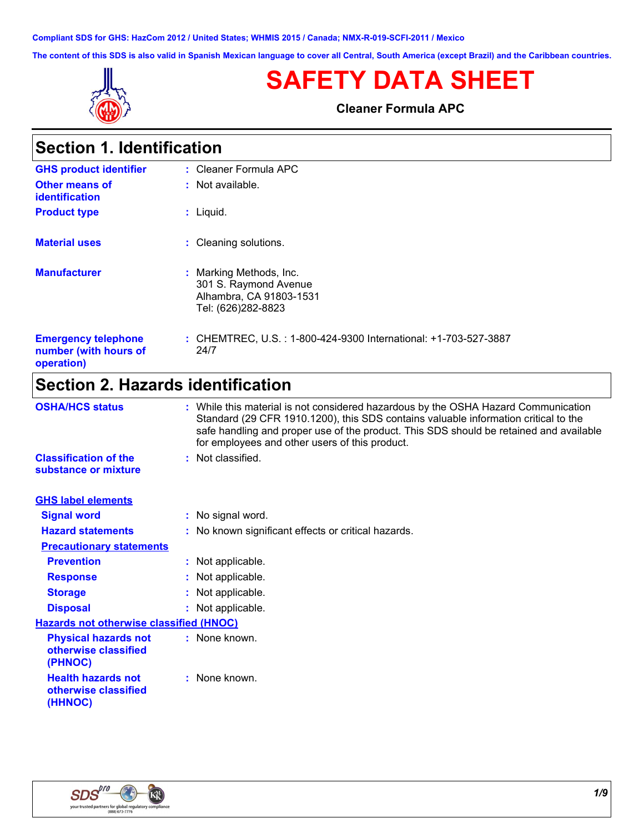**Compliant SDS for GHS: HazCom 2012 / United States; WHMIS 2015 / Canada; NMX-R-019-SCFI-2011 / Mexico**

**The content of this SDS is also valid in Spanish Mexican language to cover all Central, South America (except Brazil) and the Caribbean countries.**



# **SAFETY DATA SHEET**

**Cleaner Formula APC**

| <b>Section 1. Identification</b>               |                                                                                                   |
|------------------------------------------------|---------------------------------------------------------------------------------------------------|
| <b>GHS product identifier</b>                  | $:$ Cleaner Formula APC                                                                           |
| <b>Other means of</b><br><b>identification</b> | $:$ Not available.                                                                                |
| <b>Product type</b>                            | Liquid.<br>t.                                                                                     |
| <b>Material uses</b>                           | : Cleaning solutions.                                                                             |
| <b>Manufacturer</b>                            | : Marking Methods, Inc.<br>301 S. Raymond Avenue<br>Alhambra, CA 91803-1531<br>Tel: (626)282-8823 |

#### **Emergency telephone number (with hours of operation) :** CHEMTREC, U.S. : 1-800-424-9300 International: +1-703-527-3887 24/7

### **Section 2. Hazards identification**

| <b>OSHA/HCS status</b>                                         | : While this material is not considered hazardous by the OSHA Hazard Communication<br>Standard (29 CFR 1910.1200), this SDS contains valuable information critical to the<br>safe handling and proper use of the product. This SDS should be retained and available<br>for employees and other users of this product. |
|----------------------------------------------------------------|-----------------------------------------------------------------------------------------------------------------------------------------------------------------------------------------------------------------------------------------------------------------------------------------------------------------------|
| <b>Classification of the</b><br>substance or mixture           | : Not classified.                                                                                                                                                                                                                                                                                                     |
| <b>GHS label elements</b>                                      |                                                                                                                                                                                                                                                                                                                       |
| <b>Signal word</b>                                             | : No signal word.                                                                                                                                                                                                                                                                                                     |
| <b>Hazard statements</b>                                       | : No known significant effects or critical hazards.                                                                                                                                                                                                                                                                   |
| <b>Precautionary statements</b>                                |                                                                                                                                                                                                                                                                                                                       |
| <b>Prevention</b>                                              | : Not applicable.                                                                                                                                                                                                                                                                                                     |
| <b>Response</b>                                                | : Not applicable.                                                                                                                                                                                                                                                                                                     |
| <b>Storage</b>                                                 | : Not applicable.                                                                                                                                                                                                                                                                                                     |
| <b>Disposal</b>                                                | : Not applicable.                                                                                                                                                                                                                                                                                                     |
| <b>Hazards not otherwise classified (HNOC)</b>                 |                                                                                                                                                                                                                                                                                                                       |
| <b>Physical hazards not</b><br>otherwise classified<br>(PHNOC) | : None known.                                                                                                                                                                                                                                                                                                         |
| <b>Health hazards not</b><br>otherwise classified<br>(HHNOC)   | : None known.                                                                                                                                                                                                                                                                                                         |

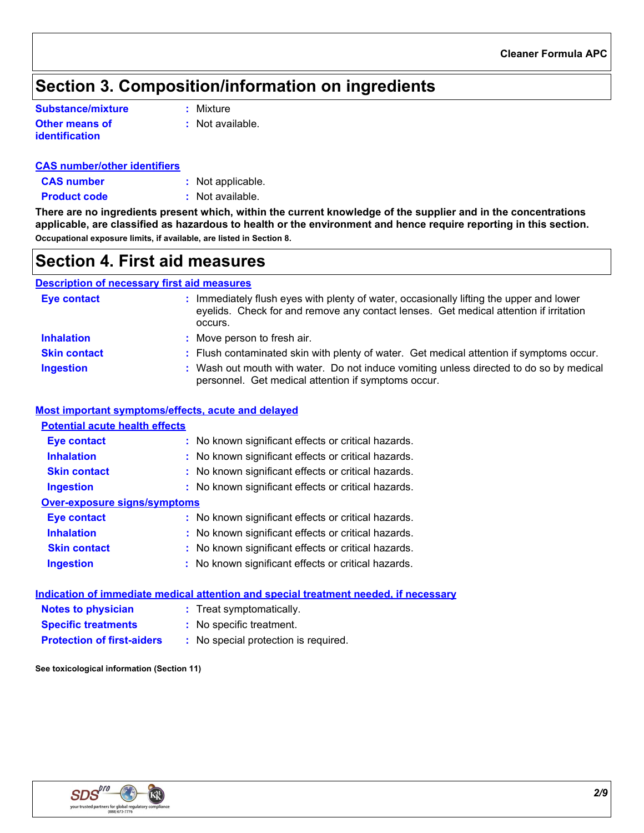## **Section 3. Composition/information on ingredients**

| Substance/mixture                       | : Mixture          |
|-----------------------------------------|--------------------|
| <b>Other means of</b><br>identification | $:$ Not available. |

| <b>CAS number/other identifiers</b> |  |
|-------------------------------------|--|
|                                     |  |

| <b>CAS number</b> | : Not applicable. |
|-------------------|-------------------|
|                   |                   |

**Product code** : Not available.

**There are no ingredients present which, within the current knowledge of the supplier and in the concentrations applicable, are classified as hazardous to health or the environment and hence require reporting in this section. Occupational exposure limits, if available, are listed in Section 8.**

### **Section 4. First aid measures**

#### **Description of necessary first aid measures**

| <b>Eye contact</b>  | : Immediately flush eyes with plenty of water, occasionally lifting the upper and lower<br>eyelids. Check for and remove any contact lenses. Get medical attention if irritation<br>occurs. |
|---------------------|---------------------------------------------------------------------------------------------------------------------------------------------------------------------------------------------|
| <b>Inhalation</b>   | : Move person to fresh air.                                                                                                                                                                 |
| <b>Skin contact</b> | : Flush contaminated skin with plenty of water. Get medical attention if symptoms occur.                                                                                                    |
| <b>Ingestion</b>    | : Wash out mouth with water. Do not induce vomiting unless directed to do so by medical<br>personnel. Get medical attention if symptoms occur.                                              |

#### **Most important symptoms/effects, acute and delayed**

| <b>Potential acute health effects</b> |                                                     |
|---------------------------------------|-----------------------------------------------------|
| <b>Eye contact</b>                    | : No known significant effects or critical hazards. |
| <b>Inhalation</b>                     | : No known significant effects or critical hazards. |
| <b>Skin contact</b>                   | : No known significant effects or critical hazards. |
| <b>Ingestion</b>                      | : No known significant effects or critical hazards. |
| Over-exposure signs/symptoms          |                                                     |
| Eye contact                           | : No known significant effects or critical hazards. |
| <b>Inhalation</b>                     | : No known significant effects or critical hazards. |
| <b>Skin contact</b>                   | : No known significant effects or critical hazards. |
| <b>Ingestion</b>                      | : No known significant effects or critical hazards. |
|                                       |                                                     |

|                                   | Indication of immediate medical attention and special treatment needed, if necessary |
|-----------------------------------|--------------------------------------------------------------------------------------|
| <b>Notes to physician</b>         | : Treat symptomatically.                                                             |
| <b>Specific treatments</b>        | : No specific treatment.                                                             |
| <b>Protection of first-aiders</b> | : No special protection is required.                                                 |
|                                   |                                                                                      |

**See toxicological information (Section 11)**

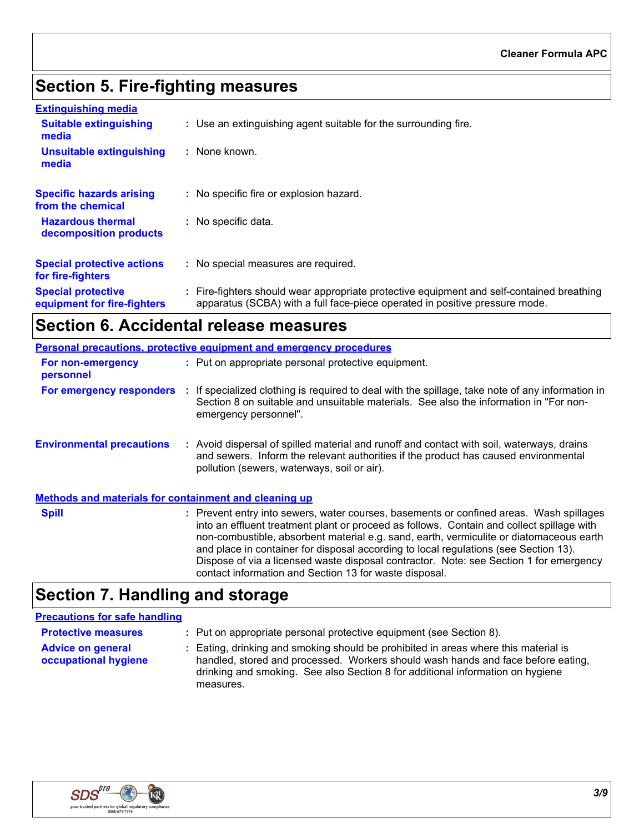## **Section 5. Fire-fighting measures**

| <b>Extinguishing media</b>                               |                                                                                                                                                                          |
|----------------------------------------------------------|--------------------------------------------------------------------------------------------------------------------------------------------------------------------------|
| <b>Suitable extinguishing</b><br>media                   | : Use an extinguishing agent suitable for the surrounding fire.                                                                                                          |
| Unsuitable extinguishing<br>media                        | : None known.                                                                                                                                                            |
| <b>Specific hazards arising</b><br>from the chemical     | : No specific fire or explosion hazard.                                                                                                                                  |
| <b>Hazardous thermal</b><br>decomposition products       | : No specific data.                                                                                                                                                      |
| <b>Special protective actions</b><br>for fire-fighters   | : No special measures are required.                                                                                                                                      |
| <b>Special protective</b><br>equipment for fire-fighters | : Fire-fighters should wear appropriate protective equipment and self-contained breathing<br>apparatus (SCBA) with a full face-piece operated in positive pressure mode. |

## **Section 6. Accidental release measures**

|                                                       | <b>Personal precautions, protective equipment and emergency procedures</b>                                                                                                                                                                                                                                                                                                                                                                                                                                                  |
|-------------------------------------------------------|-----------------------------------------------------------------------------------------------------------------------------------------------------------------------------------------------------------------------------------------------------------------------------------------------------------------------------------------------------------------------------------------------------------------------------------------------------------------------------------------------------------------------------|
| For non-emergency<br>personnel                        | : Put on appropriate personal protective equipment.                                                                                                                                                                                                                                                                                                                                                                                                                                                                         |
|                                                       | For emergency responders : If specialized clothing is required to deal with the spillage, take note of any information in<br>Section 8 on suitable and unsuitable materials. See also the information in "For non-<br>emergency personnel".                                                                                                                                                                                                                                                                                 |
| <b>Environmental precautions</b>                      | : Avoid dispersal of spilled material and runoff and contact with soil, waterways, drains<br>and sewers. Inform the relevant authorities if the product has caused environmental<br>pollution (sewers, waterways, soil or air).                                                                                                                                                                                                                                                                                             |
| Methods and materials for containment and cleaning up |                                                                                                                                                                                                                                                                                                                                                                                                                                                                                                                             |
| <b>Spill</b>                                          | : Prevent entry into sewers, water courses, basements or confined areas. Wash spillages<br>into an effluent treatment plant or proceed as follows. Contain and collect spillage with<br>non-combustible, absorbent material e.g. sand, earth, vermiculite or diatomaceous earth<br>and place in container for disposal according to local regulations (see Section 13).<br>Dispose of via a licensed waste disposal contractor. Note: see Section 1 for emergency<br>contact information and Section 13 for waste disposal. |

## **Section 7. Handling and storage**

### **Precautions for safe handling**

| <b>Protective measures</b>                       | : Put on appropriate personal protective equipment (see Section 8).                                                                                                                                                                                                    |
|--------------------------------------------------|------------------------------------------------------------------------------------------------------------------------------------------------------------------------------------------------------------------------------------------------------------------------|
| <b>Advice on general</b><br>occupational hygiene | : Eating, drinking and smoking should be prohibited in areas where this material is<br>handled, stored and processed. Workers should wash hands and face before eating,<br>drinking and smoking. See also Section 8 for additional information on hygiene<br>measures. |

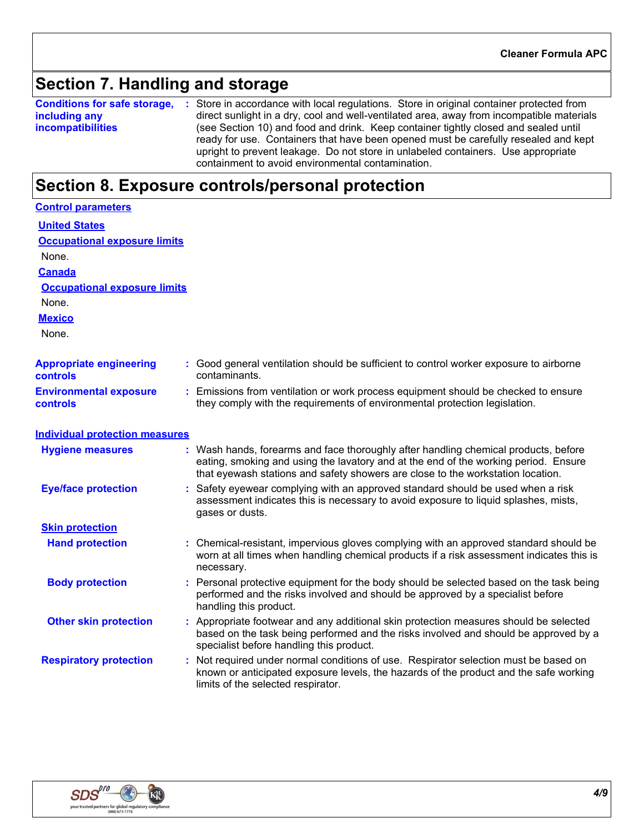### **Section 7. Handling and storage**

**Conditions for safe storage,** : Store in accordance with local regulations. Store in original container protected from **including any incompatibilities** direct sunlight in a dry, cool and well-ventilated area, away from incompatible materials (see Section 10) and food and drink. Keep container tightly closed and sealed until ready for use. Containers that have been opened must be carefully resealed and kept upright to prevent leakage. Do not store in unlabeled containers. Use appropriate containment to avoid environmental contamination.

### **Section 8. Exposure controls/personal protection**

| <b>Control parameters</b>                        |                                                                                                                                                                                                                                                               |
|--------------------------------------------------|---------------------------------------------------------------------------------------------------------------------------------------------------------------------------------------------------------------------------------------------------------------|
| <b>United States</b>                             |                                                                                                                                                                                                                                                               |
| <b>Occupational exposure limits</b>              |                                                                                                                                                                                                                                                               |
| None.                                            |                                                                                                                                                                                                                                                               |
| <b>Canada</b>                                    |                                                                                                                                                                                                                                                               |
| <b>Occupational exposure limits</b>              |                                                                                                                                                                                                                                                               |
| None.                                            |                                                                                                                                                                                                                                                               |
| <b>Mexico</b>                                    |                                                                                                                                                                                                                                                               |
| None.                                            |                                                                                                                                                                                                                                                               |
| <b>Appropriate engineering</b><br>controls       | : Good general ventilation should be sufficient to control worker exposure to airborne<br>contaminants.                                                                                                                                                       |
| <b>Environmental exposure</b><br><b>controls</b> | : Emissions from ventilation or work process equipment should be checked to ensure<br>they comply with the requirements of environmental protection legislation.                                                                                              |
| <b>Individual protection measures</b>            |                                                                                                                                                                                                                                                               |
| <b>Hygiene measures</b>                          | : Wash hands, forearms and face thoroughly after handling chemical products, before<br>eating, smoking and using the lavatory and at the end of the working period. Ensure<br>that eyewash stations and safety showers are close to the workstation location. |
| <b>Eye/face protection</b>                       | Safety eyewear complying with an approved standard should be used when a risk<br>assessment indicates this is necessary to avoid exposure to liquid splashes, mists,<br>gases or dusts.                                                                       |
| <b>Skin protection</b>                           |                                                                                                                                                                                                                                                               |
| <b>Hand protection</b>                           | : Chemical-resistant, impervious gloves complying with an approved standard should be<br>worn at all times when handling chemical products if a risk assessment indicates this is<br>necessary.                                                               |
| <b>Body protection</b>                           | : Personal protective equipment for the body should be selected based on the task being<br>performed and the risks involved and should be approved by a specialist before<br>handling this product.                                                           |
| <b>Other skin protection</b>                     | : Appropriate footwear and any additional skin protection measures should be selected<br>based on the task being performed and the risks involved and should be approved by a<br>specialist before handling this product.                                     |
| <b>Respiratory protection</b>                    | : Not required under normal conditions of use. Respirator selection must be based on<br>known or anticipated exposure levels, the hazards of the product and the safe working<br>limits of the selected respirator.                                           |

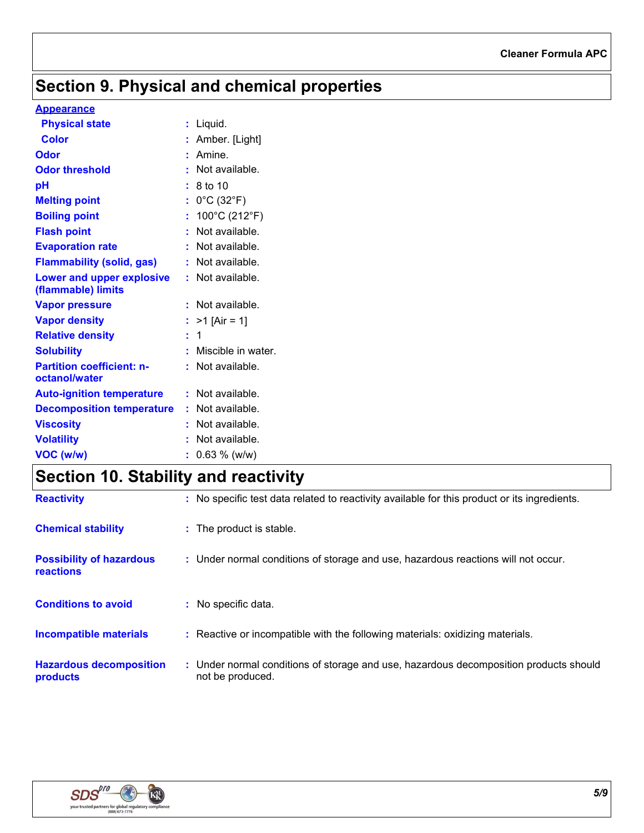## **Section 9. Physical and chemical properties**

#### **Appearance**

| <b>Physical state</b>                             | $:$ Liquid.                          |
|---------------------------------------------------|--------------------------------------|
| <b>Color</b>                                      | : Amber. [Light]                     |
| Odor                                              | $:$ Amine.                           |
| <b>Odor threshold</b>                             | : Not available.                     |
| pH                                                | : 8 to 10                            |
| <b>Melting point</b>                              | : $0^{\circ}$ C (32 $^{\circ}$ F)    |
| <b>Boiling point</b>                              | : $100^{\circ}$ C (212 $^{\circ}$ F) |
| <b>Flash point</b>                                | : Not available.                     |
| <b>Evaporation rate</b>                           | : Not available.                     |
| <b>Flammability (solid, gas)</b>                  | : Not available.                     |
| Lower and upper explosive<br>(flammable) limits   | : Not available.                     |
| <b>Vapor pressure</b>                             | : Not available.                     |
| <b>Vapor density</b>                              | : $>1$ [Air = 1]                     |
| <b>Relative density</b>                           | $\pm$ 1                              |
| <b>Solubility</b>                                 | : Miscible in water.                 |
| <b>Partition coefficient: n-</b><br>octanol/water | : Not available.                     |
| <b>Auto-ignition temperature</b>                  | : Not available.                     |
| <b>Decomposition temperature</b>                  | : Not available.                     |
| <b>Viscosity</b>                                  | : Not available.                     |
| <b>Volatility</b>                                 | $:$ Not available.                   |
| VOC (w/w)                                         | $: 0.63 \%$ (w/w)                    |

## **Section 10. Stability and reactivity**

| <b>Reactivity</b>                                   | : No specific test data related to reactivity available for this product or its ingredients. |
|-----------------------------------------------------|----------------------------------------------------------------------------------------------|
| <b>Chemical stability</b>                           | : The product is stable.                                                                     |
| <b>Possibility of hazardous</b><br><b>reactions</b> | : Under normal conditions of storage and use, hazardous reactions will not occur.            |
| <b>Conditions to avoid</b>                          | : No specific data.                                                                          |
| <b>Incompatible materials</b>                       | : Reactive or incompatible with the following materials: oxidizing materials.                |
| <b>Hazardous decomposition</b>                      | : Under normal conditions of storage and use, hazardous decomposition products should        |

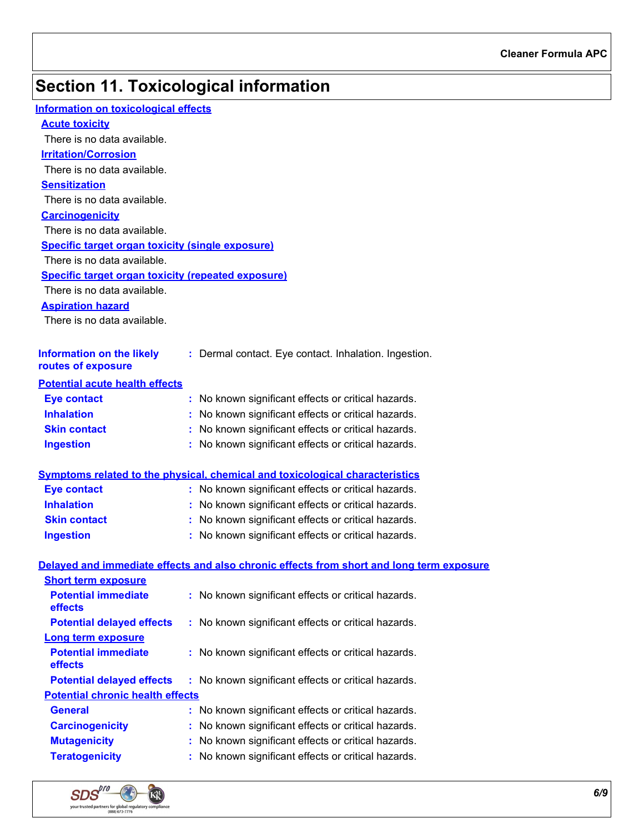## **Section 11. Toxicological information**

| <b>Information on toxicological effects</b>               |                                                                                          |
|-----------------------------------------------------------|------------------------------------------------------------------------------------------|
| <b>Acute toxicity</b>                                     |                                                                                          |
| There is no data available.                               |                                                                                          |
| <b>Irritation/Corrosion</b>                               |                                                                                          |
| There is no data available.                               |                                                                                          |
| <b>Sensitization</b>                                      |                                                                                          |
| There is no data available.                               |                                                                                          |
| <b>Carcinogenicity</b>                                    |                                                                                          |
| There is no data available.                               |                                                                                          |
| <b>Specific target organ toxicity (single exposure)</b>   |                                                                                          |
| There is no data available.                               |                                                                                          |
| <b>Specific target organ toxicity (repeated exposure)</b> |                                                                                          |
| There is no data available.                               |                                                                                          |
| <b>Aspiration hazard</b>                                  |                                                                                          |
| There is no data available.                               |                                                                                          |
|                                                           |                                                                                          |
| <b>Information on the likely</b><br>routes of exposure    | : Dermal contact. Eye contact. Inhalation. Ingestion.                                    |
| <b>Potential acute health effects</b>                     |                                                                                          |
| <b>Eye contact</b>                                        | : No known significant effects or critical hazards.                                      |
| <b>Inhalation</b>                                         | : No known significant effects or critical hazards.                                      |
| <b>Skin contact</b>                                       | : No known significant effects or critical hazards.                                      |
| <b>Ingestion</b>                                          | : No known significant effects or critical hazards.                                      |
|                                                           |                                                                                          |
|                                                           | <b>Symptoms related to the physical, chemical and toxicological characteristics</b>      |
| <b>Eye contact</b>                                        | : No known significant effects or critical hazards.                                      |
| <b>Inhalation</b>                                         | : No known significant effects or critical hazards.                                      |
| <b>Skin contact</b>                                       | : No known significant effects or critical hazards.                                      |
| <b>Ingestion</b>                                          | : No known significant effects or critical hazards.                                      |
|                                                           | Delayed and immediate effects and also chronic effects from short and long term exposure |
| <b>Short term exposure</b>                                |                                                                                          |
| <b>Potential immediate</b><br>effects                     | : No known significant effects or critical hazards.                                      |
| <b>Potential delayed effects</b>                          | : No known significant effects or critical hazards.                                      |
| Long term exposure                                        |                                                                                          |
| <b>Potential immediate</b><br>effects                     | No known significant effects or critical hazards.<br>t.                                  |
| <b>Potential delayed effects</b>                          | : No known significant effects or critical hazards.                                      |
| <b>Potential chronic health effects</b>                   |                                                                                          |
| <b>General</b>                                            | No known significant effects or critical hazards.                                        |
| <b>Carcinogenicity</b>                                    | No known significant effects or critical hazards.                                        |
| <b>Mutagenicity</b>                                       | No known significant effects or critical hazards.                                        |
| <b>Teratogenicity</b>                                     | No known significant effects or critical hazards.                                        |

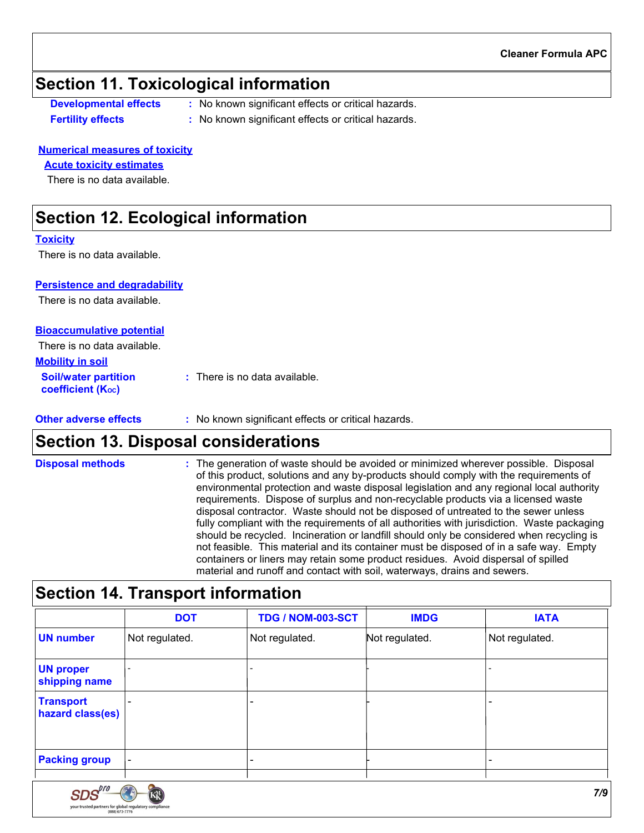### **Section 11. Toxicological information**

- **Developmental effects :** No known significant effects or critical hazards.
- **Fertility effects by Eq. 2.1.1.1. :** No known significant effects or critical hazards.

#### **Numerical measures of toxicity**

#### **Acute toxicity estimates**

There is no data available.

### **Section 12. Ecological information**

#### **Toxicity**

There is no data available.

#### **Persistence and degradability**

There is no data available.

#### **Bioaccumulative potential**

There is no data available.

SDS your trusted partne

| <b>Mobility in soil</b>                                 |                               |
|---------------------------------------------------------|-------------------------------|
| <b>Soil/water partition</b><br><b>coefficient (Koc)</b> | : There is no data available. |

#### **Other adverse effects** : No known significant effects or critical hazards.

### **Section 13. Disposal considerations**

The generation of waste should be avoided or minimized wherever possible. Disposal of this product, solutions and any by-products should comply with the requirements of environmental protection and waste disposal legislation and any regional local authority requirements. Dispose of surplus and non-recyclable products via a licensed waste disposal contractor. Waste should not be disposed of untreated to the sewer unless fully compliant with the requirements of all authorities with jurisdiction. Waste packaging should be recycled. Incineration or landfill should only be considered when recycling is not feasible. This material and its container must be disposed of in a safe way. Empty containers or liners may retain some product residues. Avoid dispersal of spilled material and runoff and contact with soil, waterways, drains and sewers. **Disposal methods :**

### **Section 14. Transport information**

|                                   | <b>DOT</b>     | <b>TDG / NOM-003-SCT</b> | <b>IMDG</b>    | <b>IATA</b>    |
|-----------------------------------|----------------|--------------------------|----------------|----------------|
| <b>UN number</b>                  | Not regulated. | Not regulated.           | Not regulated. | Not regulated. |
| <b>UN proper</b><br>shipping name |                |                          |                |                |
| Transport<br>hazard class(es)     |                |                          |                |                |
| <b>Packing group</b>              |                |                          |                |                |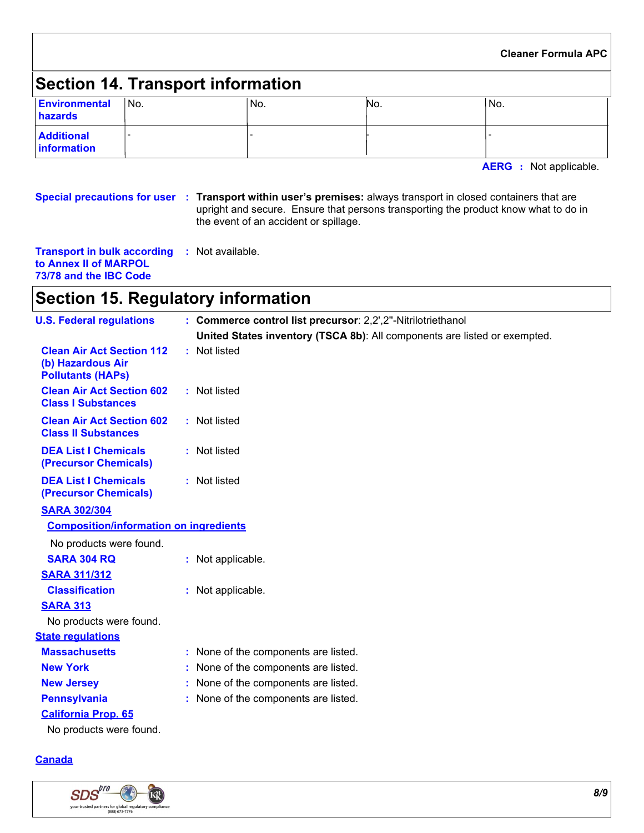#### **Cleaner Formula APC**

## **Section 14. Transport information**

| Environmental<br>hazards                | <sup>∣</sup> No. | 'No. | INO. | 'No. |
|-----------------------------------------|------------------|------|------|------|
| <b>Additional</b><br><b>Information</b> |                  |      |      |      |

**AERG :** Not applicable.

**Special precautions for user Transport within user's premises:** always transport in closed containers that are **:** upright and secure. Ensure that persons transporting the product know what to do in the event of an accident or spillage.

| <b>Transport in bulk according</b> | : Not available. |  |
|------------------------------------|------------------|--|
| to Annex II of MARPOL              |                  |  |
| 73/78 and the IBC Code             |                  |  |

## **Section 15. Regulatory information**

| <b>U.S. Federal regulations</b>                                                   | : Commerce control list precursor: 2,2',2"-Nitrilotriethanol              |  |
|-----------------------------------------------------------------------------------|---------------------------------------------------------------------------|--|
|                                                                                   | United States inventory (TSCA 8b): All components are listed or exempted. |  |
| <b>Clean Air Act Section 112</b><br>(b) Hazardous Air<br><b>Pollutants (HAPs)</b> | : Not listed                                                              |  |
| <b>Clean Air Act Section 602</b><br><b>Class I Substances</b>                     | : Not listed                                                              |  |
| <b>Clean Air Act Section 602</b><br><b>Class II Substances</b>                    | : Not listed                                                              |  |
| <b>DEA List I Chemicals</b><br>(Precursor Chemicals)                              | : Not listed                                                              |  |
| <b>DEA List I Chemicals</b><br>(Precursor Chemicals)                              | : Not listed                                                              |  |
| <b>SARA 302/304</b>                                                               |                                                                           |  |
| <b>Composition/information on ingredients</b>                                     |                                                                           |  |
| No products were found.                                                           |                                                                           |  |
| <b>SARA 304 RQ</b>                                                                | : Not applicable.                                                         |  |
| <b>SARA 311/312</b>                                                               |                                                                           |  |
| <b>Classification</b>                                                             | : Not applicable.                                                         |  |
| <b>SARA 313</b>                                                                   |                                                                           |  |
| No products were found.                                                           |                                                                           |  |
| <b>State regulations</b>                                                          |                                                                           |  |
| <b>Massachusetts</b>                                                              | : None of the components are listed.                                      |  |
| <b>New York</b>                                                                   | None of the components are listed.                                        |  |
| <b>New Jersey</b>                                                                 | None of the components are listed.                                        |  |
| <b>Pennsylvania</b>                                                               | : None of the components are listed.                                      |  |
| <b>California Prop. 65</b>                                                        |                                                                           |  |
| No products were found.                                                           |                                                                           |  |

#### **Canada**